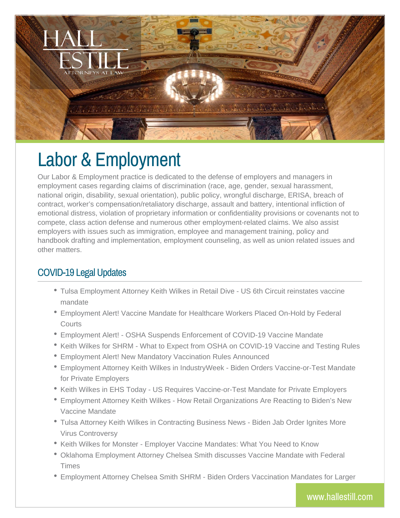

# Labor & Employment

Our Labor & Employment practice is dedicated to the defense of employers and managers in employment cases regarding claims of discrimination (race, age, gender, sexual harassment, national origin, disability, sexual orientation), public policy, wrongful discharge, ERISA, breach of contract, worker's compensation/retaliatory discharge, assault and battery, intentional infliction of emotional distress, violation of proprietary information or confidentiality provisions or covenants not to compete, class action defense and numerous other employment-related claims. We also assist employers with issues such as immigration, employee and management training, policy and handbook drafting and implementation, employment counseling, as well as union related issues and other matters.

## COVID-19 Legal Updates

- Tulsa Employment Attorney Keith Wilkes in Retail Dive US 6th Circuit reinstates vaccine mandate
- Employment Alert! Vaccine Mandate for Healthcare Workers Placed On-Hold by Federal **Courts**
- Employment Alert! OSHA Suspends Enforcement of COVID-19 Vaccine Mandate
- Keith Wilkes for SHRM What to Expect from OSHA on COVID-19 Vaccine and Testing Rules
- Employment Alert! New Mandatory Vaccination Rules Announced
- Employment Attorney Keith Wilkes in IndustryWeek Biden Orders Vaccine-or-Test Mandate for Private Employers
- Keith Wilkes in EHS Today US Requires Vaccine-or-Test Mandate for Private Employers
- Employment Attorney Keith Wilkes How Retail Organizations Are Reacting to Biden's New Vaccine Mandate
- Tulsa Attorney Keith Wilkes in Contracting Business News Biden Jab Order Ignites More Virus Controversy
- \* Keith Wilkes for Monster Employer Vaccine Mandates: What You Need to Know
- Oklahoma Employment Attorney Chelsea Smith discusses Vaccine Mandate with Federal Times
- Employment Attorney Chelsea Smith SHRM Biden Orders Vaccination Mandates for Larger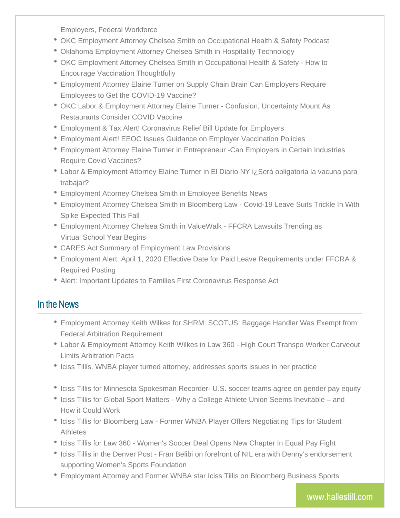Employers, Federal Workforce

- OKC Employment Attorney Chelsea Smith on Occupational Health & Safety Podcast
- Oklahoma Employment Attorney Chelsea Smith in Hospitality Technology
- OKC Employment Attorney Chelsea Smith in Occupational Health & Safety How to Encourage Vaccination Thoughtfully
- Employment Attorney Elaine Turner on Supply Chain Brain Can Employers Require Employees to Get the COVID-19 Vaccine?
- OKC Labor & Employment Attorney Elaine Turner Confusion, Uncertainty Mount As Restaurants Consider COVID Vaccine
- Employment & Tax Alert! Coronavirus Relief Bill Update for Employers
- Employment Alert! EEOC Issues Guidance on Employer Vaccination Policies
- Employment Attorney Elaine Turner in Entrepreneur -Can Employers in Certain Industries Require Covid Vaccines?
- Labor & Employment Attorney Elaine Turner in El Diario NY i¿Será obligatoria la vacuna para trabajar?
- Employment Attorney Chelsea Smith in Employee Benefits News
- Employment Attorney Chelsea Smith in Bloomberg Law Covid-19 Leave Suits Trickle In With Spike Expected This Fall
- Employment Attorney Chelsea Smith in ValueWalk FFCRA Lawsuits Trending as Virtual School Year Begins
- CARES Act Summary of Employment Law Provisions
- Employment Alert: April 1, 2020 Effective Date for Paid Leave Requirements under FFCRA & Required Posting
- Alert: Important Updates to Families First Coronavirus Response Act

#### In the News

- Employment Attorney Keith Wilkes for SHRM: SCOTUS: Baggage Handler Was Exempt from Federal Arbitration Requirement
- Labor & Employment Attorney Keith Wilkes in Law 360 High Court Transpo Worker Carveout Limits Arbitration Pacts
- Iciss Tillis, WNBA player turned attorney, addresses sports issues in her practice
- Iciss Tillis for Minnesota Spokesman Recorder- U.S. soccer teams agree on gender pay equity
- Iciss Tillis for Global Sport Matters Why a College Athlete Union Seems Inevitable and How it Could Work
- Iciss Tillis for Bloomberg Law Former WNBA Player Offers Negotiating Tips for Student Athletes
- Iciss Tillis for Law 360 Women's Soccer Deal Opens New Chapter In Equal Pay Fight
- Iciss Tillis in the Denver Post Fran Belibi on forefront of NIL era with Denny's endorsement supporting Women's Sports Foundation
- Employment Attorney and Former WNBA star Iciss Tillis on Bloomberg Business Sports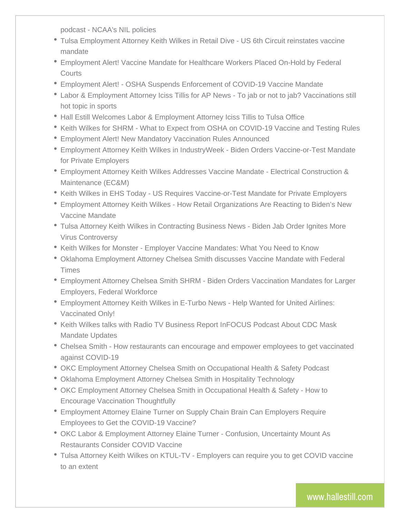podcast - NCAA's NIL policies

- Tulsa Employment Attorney Keith Wilkes in Retail Dive US 6th Circuit reinstates vaccine mandate
- Employment Alert! Vaccine Mandate for Healthcare Workers Placed On-Hold by Federal **Courts**
- Employment Alert! OSHA Suspends Enforcement of COVID-19 Vaccine Mandate
- Labor & Employment Attorney Iciss Tillis for AP News To jab or not to jab? Vaccinations still hot topic in sports
- Hall Estill Welcomes Labor & Employment Attorney Iciss Tillis to Tulsa Office
- Keith Wilkes for SHRM What to Expect from OSHA on COVID-19 Vaccine and Testing Rules
- Employment Alert! New Mandatory Vaccination Rules Announced
- Employment Attorney Keith Wilkes in IndustryWeek Biden Orders Vaccine-or-Test Mandate for Private Employers
- Employment Attorney Keith Wilkes Addresses Vaccine Mandate Electrical Construction & Maintenance (EC&M)
- Keith Wilkes in EHS Today US Requires Vaccine-or-Test Mandate for Private Employers
- Employment Attorney Keith Wilkes How Retail Organizations Are Reacting to Biden's New Vaccine Mandate
- Tulsa Attorney Keith Wilkes in Contracting Business News Biden Jab Order Ignites More Virus Controversy
- Keith Wilkes for Monster Employer Vaccine Mandates: What You Need to Know
- Oklahoma Employment Attorney Chelsea Smith discusses Vaccine Mandate with Federal Times
- Employment Attorney Chelsea Smith SHRM Biden Orders Vaccination Mandates for Larger Employers, Federal Workforce
- Employment Attorney Keith Wilkes in E-Turbo News Help Wanted for United Airlines: Vaccinated Only!
- Keith Wilkes talks with Radio TV Business Report InFOCUS Podcast About CDC Mask Mandate Updates
- Chelsea Smith How restaurants can encourage and empower employees to get vaccinated against COVID-19
- OKC Employment Attorney Chelsea Smith on Occupational Health & Safety Podcast
- Oklahoma Employment Attorney Chelsea Smith in Hospitality Technology
- OKC Employment Attorney Chelsea Smith in Occupational Health & Safety How to Encourage Vaccination Thoughtfully
- Employment Attorney Elaine Turner on Supply Chain Brain Can Employers Require Employees to Get the COVID-19 Vaccine?
- OKC Labor & Employment Attorney Elaine Turner Confusion, Uncertainty Mount As Restaurants Consider COVID Vaccine
- Tulsa Attorney Keith Wilkes on KTUL-TV Employers can require you to get COVID vaccine to an extent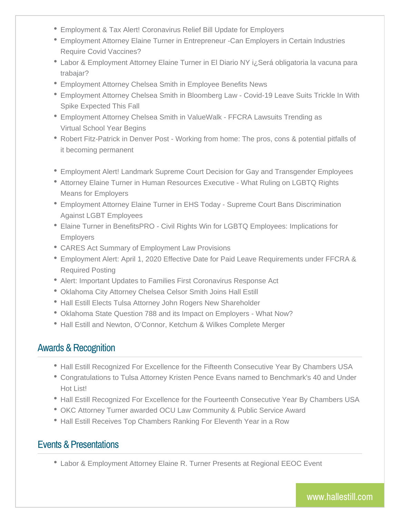- Employment & Tax Alert! Coronavirus Relief Bill Update for Employers
- Employment Attorney Elaine Turner in Entrepreneur -Can Employers in Certain Industries Require Covid Vaccines?
- Labor & Employment Attorney Elaine Turner in El Diario NY i¿Será obligatoria la vacuna para trabajar?
- Employment Attorney Chelsea Smith in Employee Benefits News
- Employment Attorney Chelsea Smith in Bloomberg Law Covid-19 Leave Suits Trickle In With Spike Expected This Fall
- Employment Attorney Chelsea Smith in ValueWalk FFCRA Lawsuits Trending as Virtual School Year Begins
- Robert Fitz-Patrick in Denver Post Working from home: The pros, cons & potential pitfalls of it becoming permanent
- Employment Alert! Landmark Supreme Court Decision for Gay and Transgender Employees
- Attorney Elaine Turner in Human Resources Executive What Ruling on LGBTQ Rights Means for Employers
- Employment Attorney Elaine Turner in EHS Today Supreme Court Bans Discrimination Against LGBT Employees
- Elaine Turner in BenefitsPRO Civil Rights Win for LGBTQ Employees: Implications for Employers
- CARES Act Summary of Employment Law Provisions
- Employment Alert: April 1, 2020 Effective Date for Paid Leave Requirements under FFCRA & Required Posting
- Alert: Important Updates to Families First Coronavirus Response Act
- Oklahoma City Attorney Chelsea Celsor Smith Joins Hall Estill
- Hall Estill Elects Tulsa Attorney John Rogers New Shareholder
- Oklahoma State Question 788 and its Impact on Employers What Now?
- Hall Estill and Newton, O'Connor, Ketchum & Wilkes Complete Merger

#### Awards & Recognition

- Hall Estill Recognized For Excellence for the Fifteenth Consecutive Year By Chambers USA
- Congratulations to Tulsa Attorney Kristen Pence Evans named to Benchmark's 40 and Under Hot List!
- Hall Estill Recognized For Excellence for the Fourteenth Consecutive Year By Chambers USA
- OKC Attorney Turner awarded OCU Law Community & Public Service Award
- Hall Estill Receives Top Chambers Ranking For Eleventh Year in a Row

## Events & Presentations

Labor & Employment Attorney Elaine R. Turner Presents at Regional EEOC Event